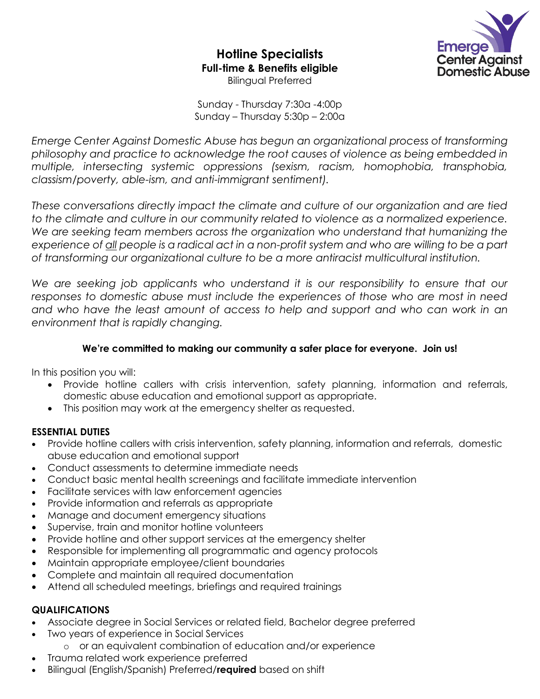**Hotline Specialists Full-time & Benefits eligible** Bilingual Preferred



Sunday - Thursday 7:30a -4:00p Sunday – Thursday 5:30p – 2:00a

*Emerge Center Against Domestic Abuse has begun an organizational process of transforming philosophy and practice to acknowledge the root causes of violence as being embedded in multiple, intersecting systemic oppressions (sexism, racism, homophobia, transphobia, classism/poverty, able-ism, and anti-immigrant sentiment).*

*These conversations directly impact the climate and culture of our organization and are tied to the climate and culture in our community related to violence as a normalized experience. We are seeking team members across the organization who understand that humanizing the experience of all people is a radical act in a non-profit system and who are willing to be a part of transforming our organizational culture to be a more antiracist multicultural institution.* 

We are seeking job applicants who understand it is our responsibility to ensure that our *responses to domestic abuse must include the experiences of those who are most in need*  and who have the least amount of access to help and support and who can work in an *environment that is rapidly changing.* 

### **We're committed to making our community a safer place for everyone. Join us!**

In this position you will:

- Provide hotline callers with crisis intervention, safety planning, information and referrals, domestic abuse education and emotional support as appropriate.
- This position may work at the emergency shelter as requested.

#### **ESSENTIAL DUTIES**

- Provide hotline callers with crisis intervention, safety planning, information and referrals, domestic abuse education and emotional support
- Conduct assessments to determine immediate needs
- Conduct basic mental health screenings and facilitate immediate intervention
- Facilitate services with law enforcement agencies
- Provide information and referrals as appropriate
- Manage and document emergency situations
- Supervise, train and monitor hotline volunteers
- Provide hotline and other support services at the emergency shelter
- Responsible for implementing all programmatic and agency protocols
- Maintain appropriate employee/client boundaries
- Complete and maintain all required documentation
- Attend all scheduled meetings, briefings and required trainings

#### **QUALIFICATIONS**

- Associate degree in Social Services or related field, Bachelor degree preferred
- Two years of experience in Social Services
	- o or an equivalent combination of education and/or experience
- Trauma related work experience preferred
- Bilingual (English/Spanish) Preferred/**required** based on shift